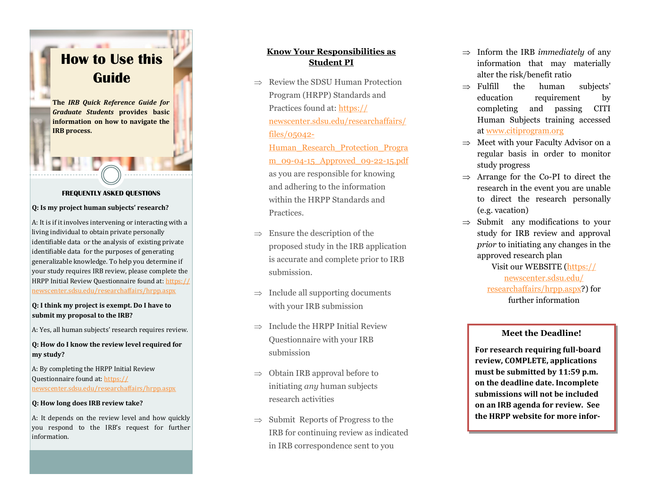# <span id="page-0-0"></span>**How to Use this Guide**

**The** *IRB Quick Reference Guide for Graduate Students* **provides basic information on how to navigate the IRB process .**

### **FREQUENTLY ASKED QUESTIONS**

#### **Q: Is my project human subjects' research?**

A: It is if it involves intervening or interacting with a living individual to obtain private personally identifiable data or the analysis of existing private identifiable data for the purposes of generating generalizable knowledge. To help you determine if your study requires IRB review, please complete the HRPP Initial Review Questionnaire found at: [https://](https://newscenter.sdsu.edu/researchaffairs/hrpp.aspx) [newscenter.sdsu.edu/researchaffairs/hrpp.aspx](https://newscenter.sdsu.edu/researchaffairs/hrpp.aspx)

#### **Q: I think my project is exempt. Do I have to submit my proposal to the IRB?**

A: Yes, all human subjects' research requires review.

## **Q: How do I know the review level required for my study?**

A: By completing the HRPP Initial Review Questionnaire found at: [https://](https://newscenter.sdsu.edu/researchaffairs/hrpp.aspx) [newscenter.sdsu.edu/researchaffairs/hrpp.aspx](https://newscenter.sdsu.edu/researchaffairs/hrpp.aspx)

#### **Q: How long does IRB review take?**

A: It depends on the review level and how quickly you respond to the IRB's request for further information.

# **Know Your Responsibilities as Student PI**

 $\Rightarrow$  Review the SDSU Human Protection Program (HRPP) Standards and Practices found at: [https://](#page-0-0) [newscenter.sdsu.edu/researchaffairs/](#page-0-0) [files/05042](#page-0-0) -

[Human\\_Research\\_Protection\\_Progra](#page-0-0) <u>m\_09-04[-15\\_Approved\\_09](#page-0-0)-22-15.pdf</u> as you are responsible for knowing and adhering to the information within the HRPP Standards and Practices.

- $\Rightarrow$  Ensure the description of the proposed study in the IRB application is accurate and complete prior to IRB submission.
- $\Rightarrow$  Include all supporting documents with your IRB submission
- $\Rightarrow$  Include the HRPP Initial Review Questionnaire with your IRB submission
- $\Rightarrow$  Obtain IRB approval before to initiating *any* human subjects research activities
- $\Rightarrow$  Submit Reports of Progress to the IRB for continuing review as indicated in IRB correspondence sent to you
- $\Rightarrow$  Inform the IRB *immediately* of any information that may materially alter the risk/benefit ratio
- $\Rightarrow$  Fulfill the human subjects' education requirement by completing and passing CITI Human Subjects training accessed at [www.citiprogram.org](http://www.citiprogram.org)
- $\Rightarrow$  Meet with your Faculty Advisor on a regular basis in order to monitor study progress
- $\Rightarrow$  Arrange for the Co-PI to direct the research in the event you are unable to direct the research personally (e.g. vacation)
- $\Rightarrow$  Submit any modifications to your study for IRB review and approval *prior* to initiating any changes in the approved research plan

Visit our WEBSITE ([https://](https://newscenter.sdsu.edu/researchaffairs/hrpp.aspx) [newscenter.sdsu.edu/](https://newscenter.sdsu.edu/researchaffairs/hrpp.aspx) [researchaffairs/hrpp.aspx?\)](https://newscenter.sdsu.edu/researchaffairs/hrpp.aspx) for further information

## **Meet the Deadline!**

**For research requiring full -board review, COMPLETE, applications must be submitted by 11:59 p.m. on the deadline date. Incomplete submissions will not be included on an IRB agenda for review. See the HRPP website for more infor-**